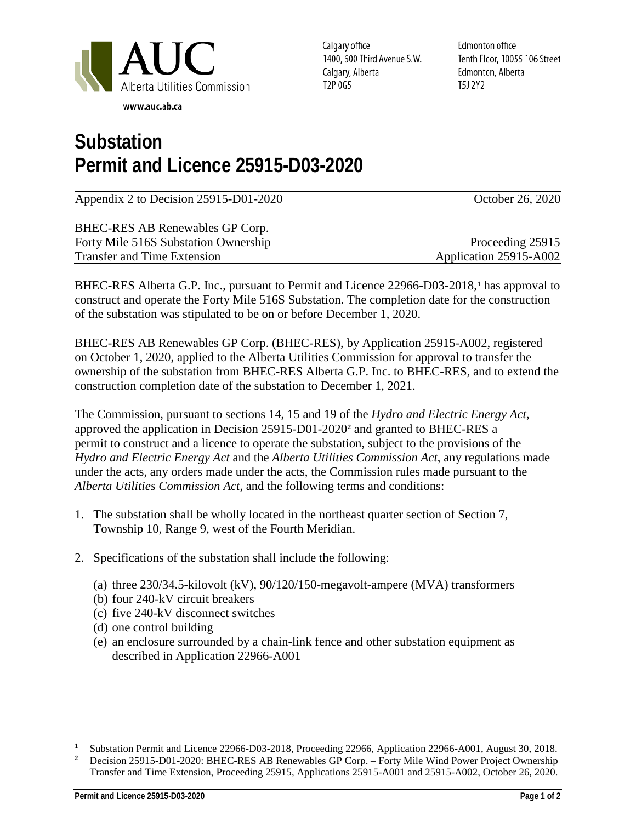

Calgary office 1400, 600 Third Avenue S.W. Calgary, Alberta T2P 0G5

Edmonton office Tenth Floor, 10055 106 Street Edmonton, Alberta T5J 2Y2

## **Substation Permit and Licence 25915-D03-2020**

| Appendix 2 to Decision 25915-D01-2020 | October 26, 2020       |
|---------------------------------------|------------------------|
| BHEC-RES AB Renewables GP Corp.       |                        |
| Forty Mile 516S Substation Ownership  | Proceeding 25915       |
| <b>Transfer and Time Extension</b>    | Application 25915-A002 |

BHEC-RES Alberta G.P. Inc., pursuant to Permit and Licence 22966-D03-2018,**[1](#page-0-0)** has approval to construct and operate the Forty Mile 516S Substation. The completion date for the construction of the substation was stipulated to be on or before December 1, 2020.

BHEC-RES AB Renewables GP Corp. (BHEC-RES), by Application 25915-A002, registered on October 1, 2020, applied to the Alberta Utilities Commission for approval to transfer the ownership of the substation from BHEC-RES Alberta G.P. Inc. to BHEC-RES, and to extend the construction completion date of the substation to December 1, 2021.

The Commission, pursuant to sections 14, 15 and 19 of the *Hydro and Electric Energy Act*, approved the application in Decision 25915-D01-2020**[2](#page-0-1)** and granted to BHEC-RES a permit to construct and a licence to operate the substation, subject to the provisions of the *Hydro and Electric Energy Act* and the *Alberta Utilities Commission Act*, any regulations made under the acts, any orders made under the acts, the Commission rules made pursuant to the *Alberta Utilities Commission Act*, and the following terms and conditions:

- 1. The substation shall be wholly located in the northeast quarter section of Section 7, Township 10, Range 9, west of the Fourth Meridian.
- 2. Specifications of the substation shall include the following:
	- (a) three 230/34.5-kilovolt (kV), 90/120/150-megavolt-ampere (MVA) transformers
	- (b) four 240-kV circuit breakers
	- (c) five 240-kV disconnect switches
	- (d) one control building
	- (e) an enclosure surrounded by a chain-link fence and other substation equipment as described in Application 22966-A001

<span id="page-0-1"></span><span id="page-0-0"></span> $\mathbf{1}$ <sup>1</sup> Substation Permit and Licence 22966-D03-2018, Proceeding 22966, Application 22966-A001, August 30, 2018.<br><sup>2</sup> Decision 25915-D01-2020: BHEC-RES AB Renewables GP Corp – Forty Mile Wind Power Project Ownership

**<sup>2</sup>** Decision 25915-D01-2020: BHEC-RES AB Renewables GP Corp. – Forty Mile Wind Power Project Ownership Transfer and Time Extension, Proceeding 25915, Applications 25915-A001 and 25915-A002, October 26, 2020.